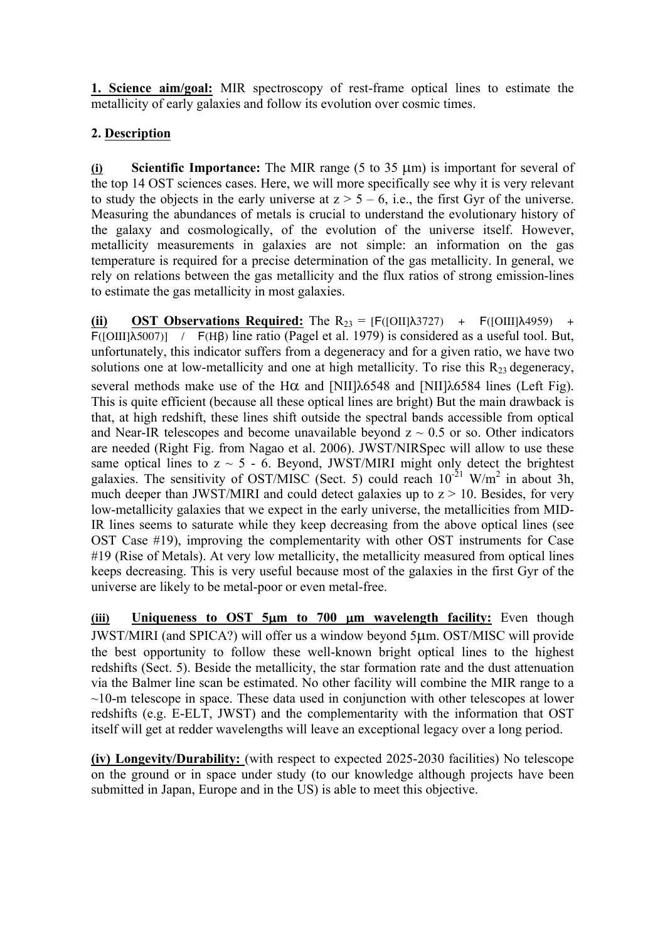**1. Science aim/goal:** MIR spectroscopy of rest-frame optical lines to estimate the metallicity of early galaxies and follow its evolution over cosmic times.

## **2. Description**

**(i) Scientific Importance:** The MIR range (5 to 35 µm) is important for several of the top 14 OST sciences cases. Here, we will more specifically see why it is very relevant to study the objects in the early universe at  $z > 5 - 6$ , i.e., the first Gyr of the universe. Measuring the abundances of metals is crucial to understand the evolutionary history of the galaxy and cosmologically, of the evolution of the universe itself. However, metallicity measurements in galaxies are not simple: an information on the gas temperature is required for a precise determination of the gas metallicity. In general, we rely on relations between the gas metallicity and the flux ratios of strong emission-lines to estimate the gas metallicity in most galaxies.

**(ii) OST Observations Required:** The  $R_{23} = [F([OII]\lambda3727) + F([OIII]\lambda4959) +$ F([OIII]λ5007)] / F(Hβ) line ratio (Pagel et al. 1979) is considered as a useful tool. But, unfortunately, this indicator suffers from a degeneracy and for a given ratio, we have two solutions one at low-metallicity and one at high metallicity. To rise this  $R_{23}$  degeneracy, several methods make use of the H $\alpha$  and [NII] $\lambda$ 6548 and [NII] $\lambda$ 6584 lines (Left Fig). This is quite efficient (because all these optical lines are bright) But the main drawback is that, at high redshift, these lines shift outside the spectral bands accessible from optical and Near-IR telescopes and become unavailable beyond  $z \sim 0.5$  or so. Other indicators are needed (Right Fig. from Nagao et al. 2006). JWST/NIRSpec will allow to use these same optical lines to  $z \sim 5 - 6$ . Beyond, JWST/MIRI might only detect the brightest galaxies. The sensitivity of OST/MISC (Sect. 5) could reach  $10^{-21}$  W/m<sup>2</sup> in about 3h, much deeper than JWST/MIRI and could detect galaxies up to  $z > 10$ . Besides, for very low-metallicity galaxies that we expect in the early universe, the metallicities from MID-IR lines seems to saturate while they keep decreasing from the above optical lines (see OST Case #19), improving the complementarity with other OST instruments for Case #19 (Rise of Metals). At very low metallicity, the metallicity measured from optical lines keeps decreasing. This is very useful because most of the galaxies in the first Gyr of the universe are likely to be metal-poor or even metal-free.

**(iii) Uniqueness to OST 5**µ**m to 700** µ**m wavelength facility:** Even though JWST/MIRI (and SPICA?) will offer us a window beyond 5µm. OST/MISC will provide the best opportunity to follow these well-known bright optical lines to the highest redshifts (Sect. 5). Beside the metallicity, the star formation rate and the dust attenuation via the Balmer line scan be estimated. No other facility will combine the MIR range to a  $\sim$ 10-m telescope in space. These data used in conjunction with other telescopes at lower redshifts (e.g. E-ELT, JWST) and the complementarity with the information that OST itself will get at redder wavelengths will leave an exceptional legacy over a long period.

**(iv) Longevity/Durability:** (with respect to expected 2025-2030 facilities) No telescope on the ground or in space under study (to our knowledge although projects have been submitted in Japan, Europe and in the US) is able to meet this objective.